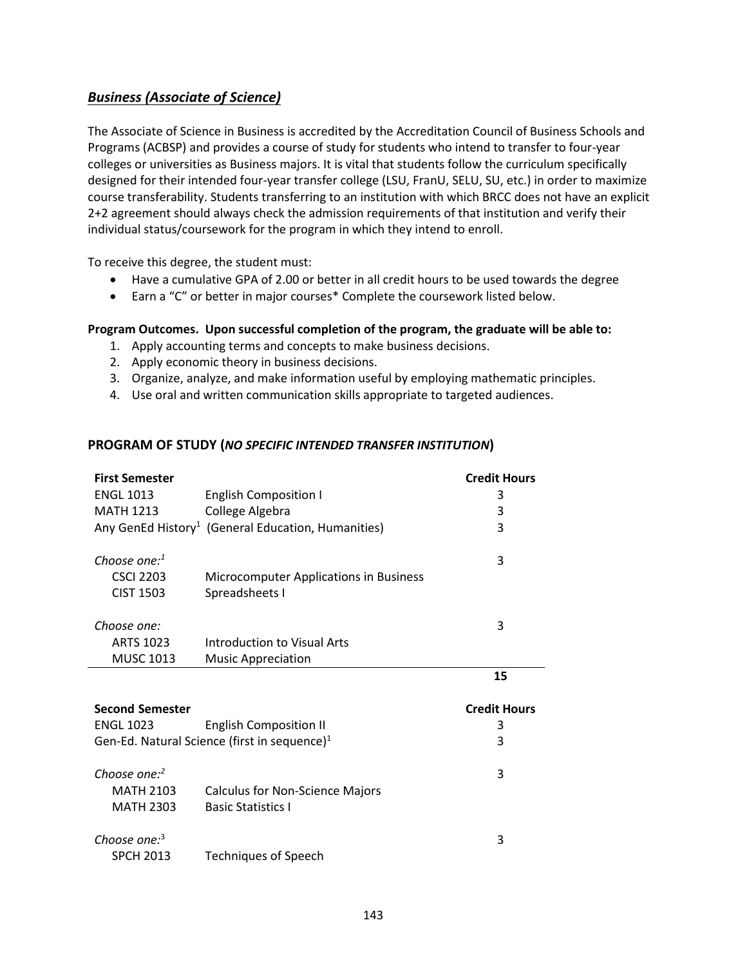# *Business (Associate of Science)*

The Associate of Science in Business is accredited by the Accreditation Council of Business Schools and Programs (ACBSP) and provides a course of study for students who intend to transfer to four-year colleges or universities as Business majors. It is vital that students follow the curriculum specifically designed for their intended four-year transfer college (LSU, FranU, SELU, SU, etc.) in order to maximize course transferability. Students transferring to an institution with which BRCC does not have an explicit 2+2 agreement should always check the admission requirements of that institution and verify their individual status/coursework for the program in which they intend to enroll.

To receive this degree, the student must:

- Have a cumulative GPA of 2.00 or better in all credit hours to be used towards the degree
- Earn a "C" or better in major courses\* Complete the coursework listed below.

### **Program Outcomes. Upon successful completion of the program, the graduate will be able to:**

- 1. Apply accounting terms and concepts to make business decisions.
- 2. Apply economic theory in business decisions.
- 3. Organize, analyze, and make information useful by employing mathematic principles.
- 4. Use oral and written communication skills appropriate to targeted audiences.

#### **PROGRAM OF STUDY (***NO SPECIFIC INTENDED TRANSFER INSTITUTION***)**

| <b>First Semester</b>                        |                                                                | <b>Credit Hours</b> |
|----------------------------------------------|----------------------------------------------------------------|---------------------|
| <b>ENGL 1013</b>                             | <b>English Composition I</b>                                   | 3                   |
| <b>MATH 1213</b>                             | College Algebra                                                | 3                   |
|                                              | Any GenEd History <sup>1</sup> (General Education, Humanities) | 3                   |
| Choose one: <sup>1</sup><br><b>CSCI 2203</b> | Microcomputer Applications in Business                         | 3                   |
| <b>CIST 1503</b>                             | Spreadsheets I                                                 |                     |
| Choose one:                                  |                                                                | 3                   |
| <b>ARTS 1023</b>                             | Introduction to Visual Arts                                    |                     |
| <b>MUSC 1013</b>                             | <b>Music Appreciation</b>                                      |                     |
|                                              |                                                                |                     |
|                                              |                                                                | 15                  |
| <b>Second Semester</b>                       |                                                                | <b>Credit Hours</b> |
| <b>ENGL 1023</b>                             | <b>English Composition II</b>                                  | 3                   |
|                                              | Gen-Ed. Natural Science (first in sequence) <sup>1</sup>       | 3                   |
| Choose one: $2$                              |                                                                | 3                   |
| <b>MATH 2103</b>                             | <b>Calculus for Non-Science Majors</b>                         |                     |
| <b>MATH 2303</b>                             | <b>Basic Statistics I</b>                                      |                     |
| Choose one: <sup>3</sup><br><b>SPCH 2013</b> | <b>Techniques of Speech</b>                                    | 3                   |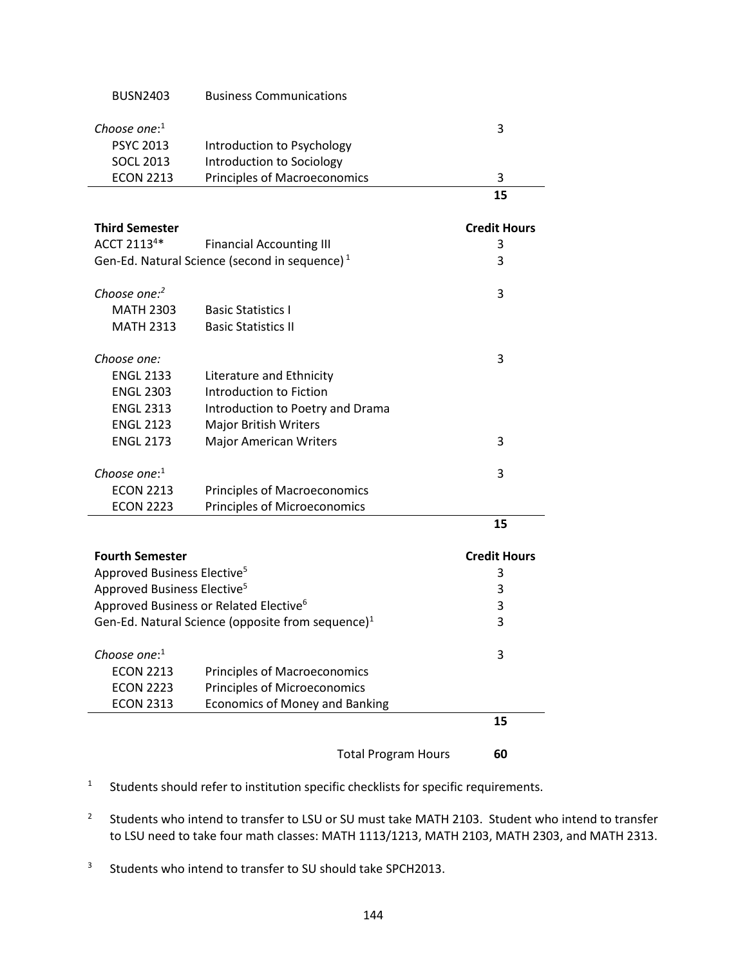|                                         | <b>Total Program Hours</b>                                                                   | 60                  |
|-----------------------------------------|----------------------------------------------------------------------------------------------|---------------------|
|                                         |                                                                                              | 15                  |
| <b>ECON 2313</b>                        | <b>Economics of Money and Banking</b>                                                        |                     |
| <b>ECON 2223</b>                        | <b>Principles of Microeconomics</b>                                                          |                     |
| <b>ECON 2213</b>                        | <b>Principles of Macroeconomics</b>                                                          |                     |
| Choose one: $1$                         |                                                                                              | 3                   |
|                                         |                                                                                              |                     |
|                                         | Gen-Ed. Natural Science (opposite from sequence) <sup>1</sup>                                | 3                   |
|                                         | Approved Business or Related Elective <sup>6</sup>                                           | 3                   |
| Approved Business Elective <sup>5</sup> |                                                                                              | 3                   |
| Approved Business Elective <sup>5</sup> |                                                                                              | 3                   |
| <b>Fourth Semester</b>                  |                                                                                              | <b>Credit Hours</b> |
|                                         |                                                                                              | 15                  |
| <b>ECON 2223</b>                        | <b>Principles of Microeconomics</b>                                                          |                     |
| <b>ECON 2213</b>                        | <b>Principles of Macroeconomics</b>                                                          |                     |
| Choose one: $1$                         |                                                                                              | 3                   |
| <b>ENGL 2173</b>                        | <b>Major American Writers</b>                                                                | 3                   |
| <b>ENGL 2123</b>                        | <b>Major British Writers</b>                                                                 |                     |
| <b>ENGL 2313</b>                        | Introduction to Poetry and Drama                                                             |                     |
| <b>ENGL 2303</b>                        | Introduction to Fiction                                                                      |                     |
| <b>ENGL 2133</b>                        | Literature and Ethnicity                                                                     |                     |
| Choose one:                             |                                                                                              | 3                   |
|                                         |                                                                                              |                     |
| <b>MATH 2313</b>                        | <b>Basic Statistics II</b>                                                                   |                     |
| <b>MATH 2303</b>                        | <b>Basic Statistics I</b>                                                                    |                     |
| Choose one:2                            |                                                                                              | 3                   |
|                                         |                                                                                              |                     |
|                                         | <b>Financial Accounting III</b><br>Gen-Ed. Natural Science (second in sequence) <sup>1</sup> | 3<br>3              |
| <b>Third Semester</b><br>ACCT 21134*    |                                                                                              | <b>Credit Hours</b> |
|                                         |                                                                                              |                     |
|                                         |                                                                                              | 15                  |
| <b>ECON 2213</b>                        | <b>Principles of Macroeconomics</b>                                                          | 3                   |
| <b>SOCL 2013</b>                        | Introduction to Sociology                                                                    |                     |
| <b>PSYC 2013</b>                        | Introduction to Psychology                                                                   |                     |
| Choose one: $1$                         |                                                                                              | 3                   |
| <b>BUSN2403</b>                         | <b>Business Communications</b>                                                               |                     |
|                                         |                                                                                              |                     |

- 1 Students should refer to institution specific checklists for specific requirements.
- 2 Students who intend to transfer to LSU or SU must take MATH 2103. Student who intend to transfer to LSU need to take four math classes: MATH 1113/1213, MATH 2103, MATH 2303, and MATH 2313.
- 3 Students who intend to transfer to SU should take SPCH2013.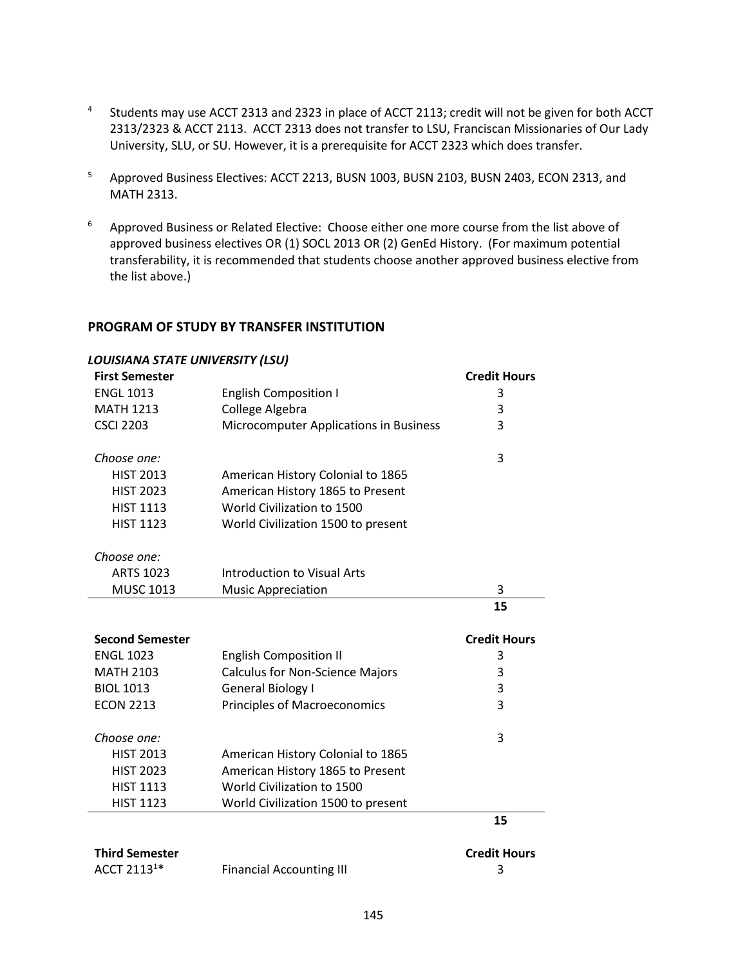- 4 Students may use ACCT 2313 and 2323 in place of ACCT 2113; credit will not be given for both ACCT 2313/2323 & ACCT 2113. ACCT 2313 does not transfer to LSU, Franciscan Missionaries of Our Lady University, SLU, or SU. However, it is a prerequisite for ACCT 2323 which does transfer.
- <sup>5</sup> Approved Business Electives: ACCT 2213, BUSN 1003, BUSN 2103, BUSN 2403, ECON 2313, and MATH 2313.
- <sup>6</sup> Approved Business or Related Elective: Choose either one more course from the list above of approved business electives OR (1) SOCL 2013 OR (2) GenEd History. (For maximum potential transferability, it is recommended that students choose another approved business elective from the list above.)

### **PROGRAM OF STUDY BY TRANSFER INSTITUTION**

| <b>LOUISIANA STATE UNIVERSITY (LSU)</b> |                                        |                     |
|-----------------------------------------|----------------------------------------|---------------------|
| <b>First Semester</b>                   |                                        | <b>Credit Hours</b> |
| <b>ENGL 1013</b>                        | <b>English Composition I</b>           | 3                   |
| <b>MATH 1213</b>                        | College Algebra                        | 3                   |
| <b>CSCI 2203</b>                        | Microcomputer Applications in Business | 3                   |
| Choose one:                             |                                        | 3                   |
| <b>HIST 2013</b>                        | American History Colonial to 1865      |                     |
| <b>HIST 2023</b>                        | American History 1865 to Present       |                     |
| <b>HIST 1113</b>                        | World Civilization to 1500             |                     |
| <b>HIST 1123</b>                        | World Civilization 1500 to present     |                     |
| Choose one:                             |                                        |                     |
| <b>ARTS 1023</b>                        | <b>Introduction to Visual Arts</b>     |                     |
| <b>MUSC 1013</b>                        | <b>Music Appreciation</b>              | 3                   |
|                                         |                                        | 15                  |
| <b>Second Semester</b>                  |                                        | <b>Credit Hours</b> |
| <b>ENGL 1023</b>                        | <b>English Composition II</b>          | 3                   |
| <b>MATH 2103</b>                        | <b>Calculus for Non-Science Majors</b> | 3                   |
| <b>BIOL 1013</b>                        | <b>General Biology I</b>               | 3                   |
| <b>ECON 2213</b>                        | <b>Principles of Macroeconomics</b>    | 3                   |
| Choose one:                             |                                        | 3                   |
| <b>HIST 2013</b>                        | American History Colonial to 1865      |                     |
| <b>HIST 2023</b>                        | American History 1865 to Present       |                     |
| <b>HIST 1113</b>                        | World Civilization to 1500             |                     |
| <b>HIST 1123</b>                        | World Civilization 1500 to present     |                     |
|                                         |                                        | 15                  |
| <b>Third Semester</b>                   |                                        | <b>Credit Hours</b> |
| ACCT 2113 <sup>1*</sup>                 | <b>Financial Accounting III</b>        | 3                   |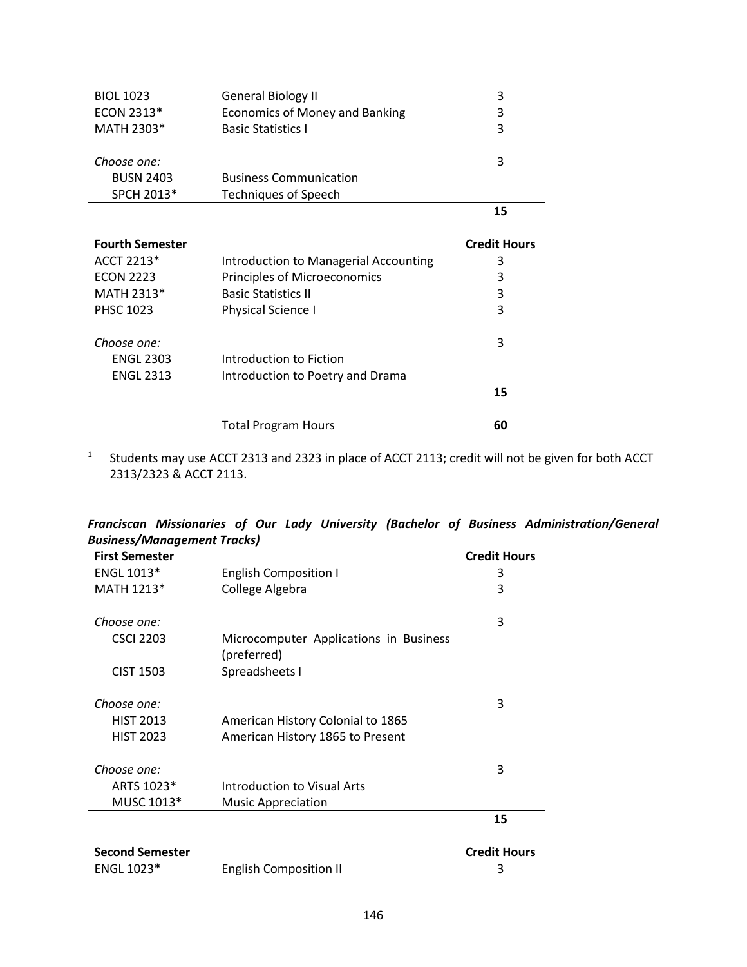| <b>BIOL 1023</b>       | <b>General Biology II</b>             | 3                   |
|------------------------|---------------------------------------|---------------------|
| ECON 2313*             | Economics of Money and Banking        | 3                   |
| MATH 2303*             | <b>Basic Statistics I</b>             | 3                   |
| Choose one:            |                                       | 3                   |
| <b>BUSN 2403</b>       | <b>Business Communication</b>         |                     |
| SPCH 2013*             | <b>Techniques of Speech</b>           |                     |
|                        |                                       | 15                  |
| <b>Fourth Semester</b> |                                       | <b>Credit Hours</b> |
| ACCT 2213*             | Introduction to Managerial Accounting | 3                   |
| <b>ECON 2223</b>       | Principles of Microeconomics          | 3                   |
| MATH 2313*             | <b>Basic Statistics II</b>            | 3                   |
| <b>PHSC 1023</b>       | Physical Science I                    | 3                   |
| Choose one:            |                                       | 3                   |
| <b>ENGL 2303</b>       | Introduction to Fiction               |                     |
| <b>ENGL 2313</b>       | Introduction to Poetry and Drama      |                     |
|                        |                                       | 15                  |
|                        | <b>Total Program Hours</b>            | 60                  |

<sup>1</sup> Students may use ACCT 2313 and 2323 in place of ACCT 2113; credit will not be given for both ACCT 2313/2323 & ACCT 2113.

|       |                                    |  |  |  | Franciscan Missionaries of Our Lady University (Bachelor of Business Administration/General |
|-------|------------------------------------|--|--|--|---------------------------------------------------------------------------------------------|
|       | <b>Business/Management Tracks)</b> |  |  |  |                                                                                             |
| - - - |                                    |  |  |  |                                                                                             |

| <b>First Semester</b>  |                                                       | <b>Credit Hours</b> |
|------------------------|-------------------------------------------------------|---------------------|
| ENGL 1013*             | <b>English Composition I</b>                          | 3                   |
| MATH 1213*             | College Algebra                                       | 3                   |
| Choose one:            |                                                       | 3                   |
| <b>CSCI 2203</b>       | Microcomputer Applications in Business<br>(preferred) |                     |
| <b>CIST 1503</b>       | Spreadsheets I                                        |                     |
| Choose one:            |                                                       | 3                   |
| <b>HIST 2013</b>       | American History Colonial to 1865                     |                     |
| <b>HIST 2023</b>       | American History 1865 to Present                      |                     |
| Choose one:            |                                                       | 3                   |
| ARTS 1023*             | Introduction to Visual Arts                           |                     |
| MUSC 1013*             | <b>Music Appreciation</b>                             |                     |
|                        |                                                       | 15                  |
| <b>Second Semester</b> |                                                       | <b>Credit Hours</b> |
| <b>ENGL 1023*</b>      | <b>English Composition II</b>                         | 3                   |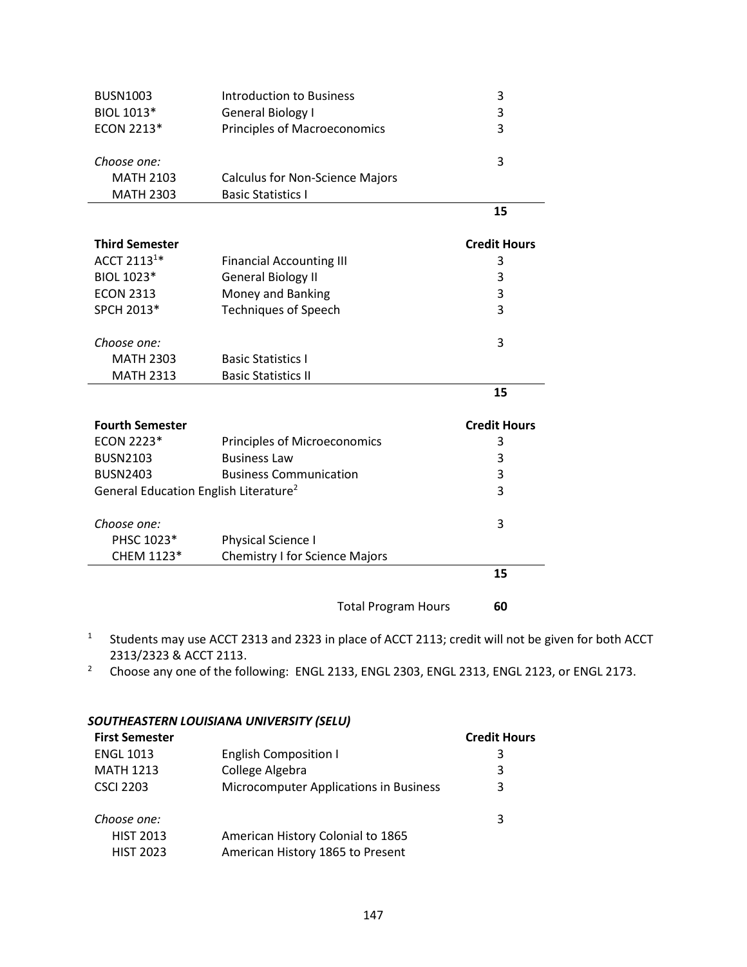| <b>BUSN1003</b>                                   | <b>Introduction to Business</b>        |                            | 3                   |
|---------------------------------------------------|----------------------------------------|----------------------------|---------------------|
| BIOL 1013*                                        | <b>General Biology I</b>               |                            | 3                   |
| ECON 2213*                                        | <b>Principles of Macroeconomics</b>    |                            | 3                   |
|                                                   |                                        |                            |                     |
| Choose one:                                       |                                        |                            | 3                   |
| <b>MATH 2103</b>                                  | <b>Calculus for Non-Science Majors</b> |                            |                     |
| <b>MATH 2303</b>                                  | <b>Basic Statistics I</b>              |                            |                     |
|                                                   |                                        |                            | 15                  |
| <b>Third Semester</b>                             |                                        |                            | <b>Credit Hours</b> |
| ACCT 2113 <sup>1*</sup>                           | <b>Financial Accounting III</b>        |                            | 3                   |
| BIOL 1023*                                        | <b>General Biology II</b>              |                            | 3                   |
| <b>ECON 2313</b>                                  | Money and Banking                      |                            | 3                   |
| SPCH 2013*                                        | <b>Techniques of Speech</b>            |                            | 3                   |
| Choose one:                                       |                                        |                            | 3                   |
| <b>MATH 2303</b>                                  | <b>Basic Statistics I</b>              |                            |                     |
| <b>MATH 2313</b>                                  | <b>Basic Statistics II</b>             |                            |                     |
|                                                   |                                        |                            | 15                  |
|                                                   |                                        |                            |                     |
| <b>Fourth Semester</b>                            |                                        |                            | <b>Credit Hours</b> |
| ECON 2223*                                        | Principles of Microeconomics           |                            | 3                   |
| <b>BUSN2103</b>                                   | <b>Business Law</b>                    |                            | 3                   |
| <b>BUSN2403</b>                                   | <b>Business Communication</b>          |                            | 3                   |
| General Education English Literature <sup>2</sup> |                                        |                            | 3                   |
| Choose one:                                       |                                        |                            | 3                   |
| PHSC 1023*                                        | Physical Science I                     |                            |                     |
| CHEM 1123*                                        | <b>Chemistry I for Science Majors</b>  |                            |                     |
|                                                   |                                        |                            | 15                  |
|                                                   |                                        | <b>Total Program Hours</b> | 60                  |

- <sup>1</sup> Students may use ACCT 2313 and 2323 in place of ACCT 2113; credit will not be given for both ACCT 2313/2323 & ACCT 2113.
- <sup>2</sup> Choose any one of the following: ENGL 2133, ENGL 2303, ENGL 2313, ENGL 2123, or ENGL 2173.

### *SOUTHEASTERN LOUISIANA UNIVERSITY (SELU)*

| <b>First Semester</b> |                                        | <b>Credit Hours</b> |
|-----------------------|----------------------------------------|---------------------|
| <b>ENGL 1013</b>      | <b>English Composition I</b>           | 3                   |
| <b>MATH 1213</b>      | College Algebra                        | 3                   |
| <b>CSCI 2203</b>      | Microcomputer Applications in Business | 3                   |
| Choose one:           |                                        | 3                   |
| <b>HIST 2013</b>      | American History Colonial to 1865      |                     |
| <b>HIST 2023</b>      | American History 1865 to Present       |                     |
|                       |                                        |                     |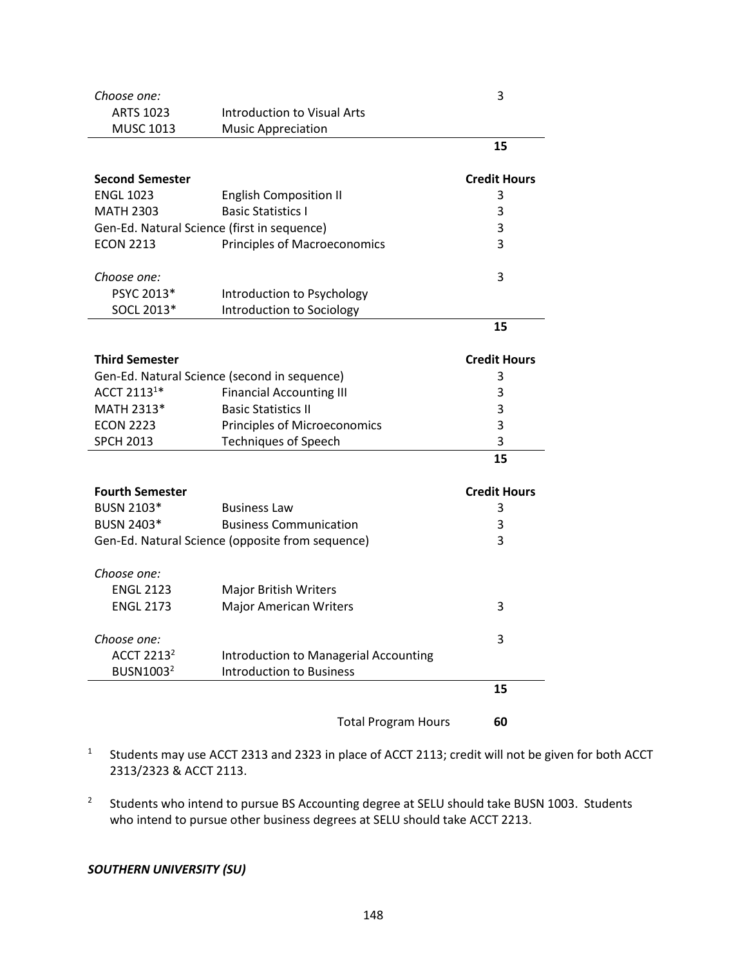| Choose one:                  |                                                  | 3                   |
|------------------------------|--------------------------------------------------|---------------------|
| <b>ARTS 1023</b>             | <b>Introduction to Visual Arts</b>               |                     |
| <b>MUSC 1013</b>             | <b>Music Appreciation</b>                        |                     |
|                              |                                                  | 15                  |
| <b>Second Semester</b>       |                                                  | <b>Credit Hours</b> |
| <b>ENGL 1023</b>             | <b>English Composition II</b>                    | 3                   |
| <b>MATH 2303</b>             | <b>Basic Statistics I</b>                        | 3                   |
|                              | Gen-Ed. Natural Science (first in sequence)      | 3                   |
| <b>ECON 2213</b>             | <b>Principles of Macroeconomics</b>              | 3                   |
|                              |                                                  |                     |
| Choose one:                  |                                                  | 3                   |
| PSYC 2013*                   | Introduction to Psychology                       |                     |
| SOCL 2013*                   | Introduction to Sociology                        |                     |
|                              |                                                  | 15                  |
| <b>Third Semester</b>        |                                                  | <b>Credit Hours</b> |
|                              | Gen-Ed. Natural Science (second in sequence)     | 3                   |
| ACCT 2113 <sup>1*</sup>      | <b>Financial Accounting III</b>                  | 3                   |
| MATH 2313*                   | <b>Basic Statistics II</b>                       | 3                   |
| <b>ECON 2223</b>             | Principles of Microeconomics                     | 3                   |
| <b>SPCH 2013</b>             | <b>Techniques of Speech</b>                      | 3                   |
|                              |                                                  | 15                  |
| <b>Fourth Semester</b>       |                                                  | <b>Credit Hours</b> |
| <b>BUSN 2103*</b>            | <b>Business Law</b>                              | 3                   |
| <b>BUSN 2403*</b>            | <b>Business Communication</b>                    | 3                   |
|                              | Gen-Ed. Natural Science (opposite from sequence) | 3                   |
| Choose one:                  |                                                  |                     |
| <b>ENGL 2123</b>             | <b>Major British Writers</b>                     |                     |
| <b>ENGL 2173</b>             | <b>Major American Writers</b>                    | 3                   |
| Choose one:                  |                                                  | 3                   |
| <b>ACCT 2213<sup>2</sup></b> | Introduction to Managerial Accounting            |                     |
| BUSN1003 <sup>2</sup>        | <b>Introduction to Business</b>                  |                     |
|                              |                                                  | 15                  |
|                              | <b>Total Program Hours</b>                       | 60                  |
|                              |                                                  |                     |

- 1 Students may use ACCT 2313 and 2323 in place of ACCT 2113; credit will not be given for both ACCT 2313/2323 & ACCT 2113.
- 2 Students who intend to pursue BS Accounting degree at SELU should take BUSN 1003. Students who intend to pursue other business degrees at SELU should take ACCT 2213.

# *SOUTHERN UNIVERSITY (SU)*